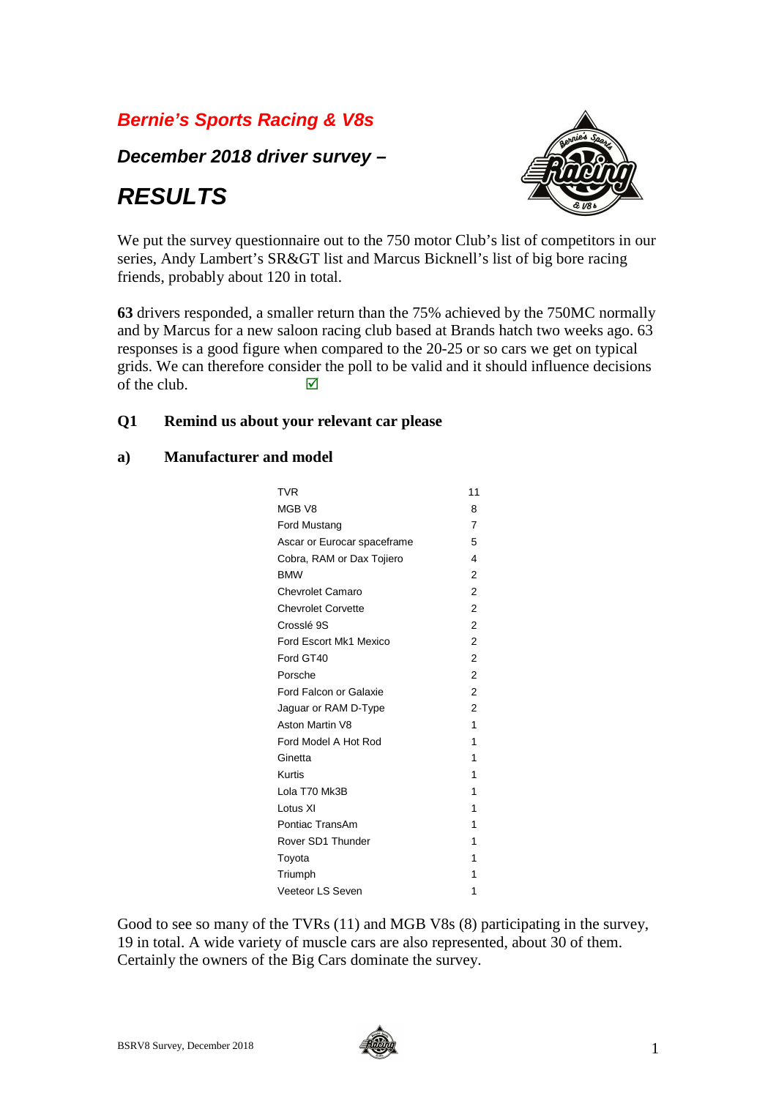# **Bernie's Sports Racing & V8s**

**December 2018 driver survey –** 

# **RESULTS**



We put the survey questionnaire out to the 750 motor Club's list of competitors in our series, Andy Lambert's SR&GT list and Marcus Bicknell's list of big bore racing friends, probably about 120 in total.

**63** drivers responded, a smaller return than the 75% achieved by the 750MC normally and by Marcus for a new saloon racing club based at Brands hatch two weeks ago. 63 responses is a good figure when compared to the 20-25 or so cars we get on typical grids. We can therefore consider the poll to be valid and it should influence decisions of the club.  $\blacksquare$ 

#### **Q1 Remind us about your relevant car please**

#### **a) Manufacturer and model**

| <b>TVR</b>                  | 11             |
|-----------------------------|----------------|
| MGB V8                      | 8              |
| Ford Mustang                | 7              |
| Ascar or Eurocar spaceframe | 5              |
| Cobra, RAM or Dax Tojiero   | 4              |
| <b>BMW</b>                  | $\overline{2}$ |
| <b>Chevrolet Camaro</b>     | $\overline{2}$ |
| <b>Chevrolet Corvette</b>   | $\overline{2}$ |
| Crosslé 9S                  | $\overline{2}$ |
| Ford Escort Mk1 Mexico      | $\overline{2}$ |
| Ford GT40                   | $\overline{2}$ |
| Porsche                     | $\overline{2}$ |
| Ford Falcon or Galaxie      | $\overline{2}$ |
| Jaguar or RAM D-Type        | $\overline{2}$ |
| <b>Aston Martin V8</b>      | 1              |
| Ford Model A Hot Rod        | 1              |
| Ginetta                     | 1              |
| Kurtis                      | 1              |
| Lola T70 Mk3B               | 1              |
| Lotus XI                    | 1              |
| Pontiac TransAm             | 1              |
| Rover SD1 Thunder           | 1              |
| Toyota                      | 1              |
| Triumph                     | 1              |
| Veeteor LS Seven            | 1              |

Good to see so many of the TVRs (11) and MGB V8s (8) participating in the survey, 19 in total. A wide variety of muscle cars are also represented, about 30 of them. Certainly the owners of the Big Cars dominate the survey.

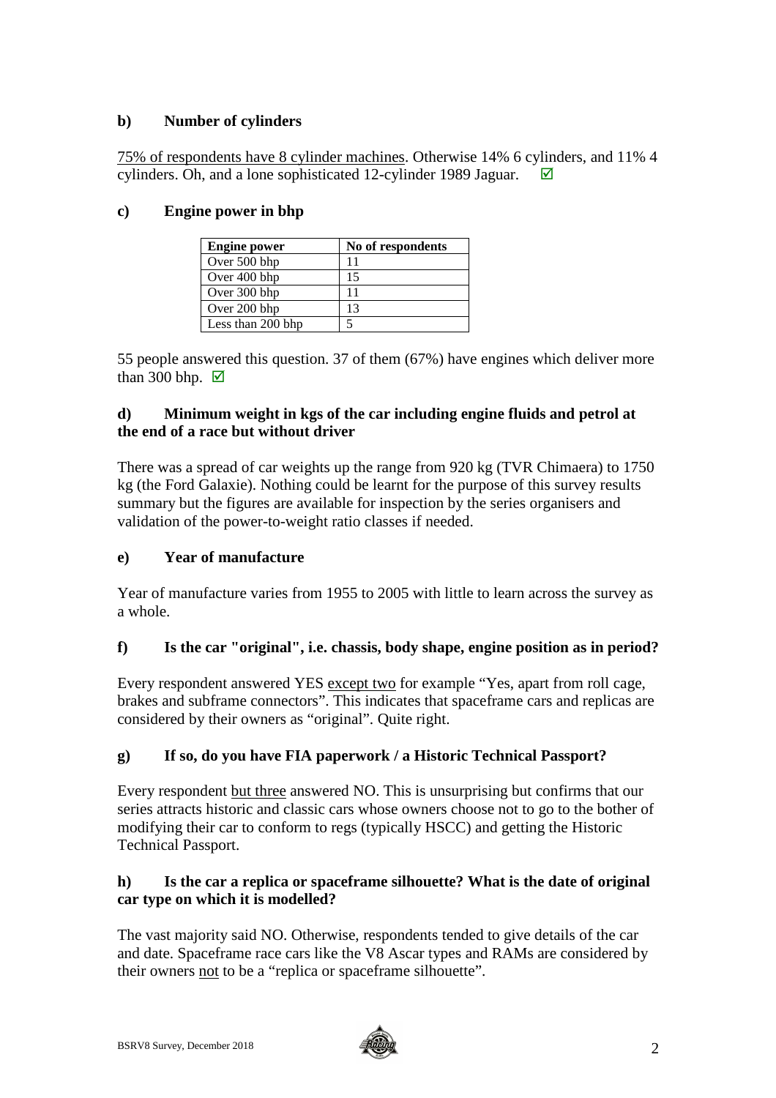# **b) Number of cylinders**

75% of respondents have 8 cylinder machines. Otherwise 14% 6 cylinders, and 11% 4 cylinders. Oh, and a lone sophisticated 12-cylinder 1989 Jaguar.  $\Box$ 

# **c) Engine power in bhp**

| <b>Engine power</b> | No of respondents |
|---------------------|-------------------|
| Over 500 bhp        | 11                |
| Over 400 bhp        | 15                |
| Over 300 bhp        |                   |
| Over 200 bhp        | 13                |
| Less than 200 bhp   |                   |

55 people answered this question. 37 of them (67%) have engines which deliver more than 300 bhp.  $\Box$ 

# **d) Minimum weight in kgs of the car including engine fluids and petrol at the end of a race but without driver**

There was a spread of car weights up the range from 920 kg (TVR Chimaera) to 1750 kg (the Ford Galaxie). Nothing could be learnt for the purpose of this survey results summary but the figures are available for inspection by the series organisers and validation of the power-to-weight ratio classes if needed.

## **e) Year of manufacture**

Year of manufacture varies from 1955 to 2005 with little to learn across the survey as a whole.

#### **f) Is the car "original", i.e. chassis, body shape, engine position as in period?**

Every respondent answered YES except two for example "Yes, apart from roll cage, brakes and subframe connectors". This indicates that spaceframe cars and replicas are considered by their owners as "original". Quite right.

# **g) If so, do you have FIA paperwork / a Historic Technical Passport?**

Every respondent but three answered NO. This is unsurprising but confirms that our series attracts historic and classic cars whose owners choose not to go to the bother of modifying their car to conform to regs (typically HSCC) and getting the Historic Technical Passport.

#### **h) Is the car a replica or spaceframe silhouette? What is the date of original car type on which it is modelled?**

The vast majority said NO. Otherwise, respondents tended to give details of the car and date. Spaceframe race cars like the V8 Ascar types and RAMs are considered by their owners not to be a "replica or spaceframe silhouette".

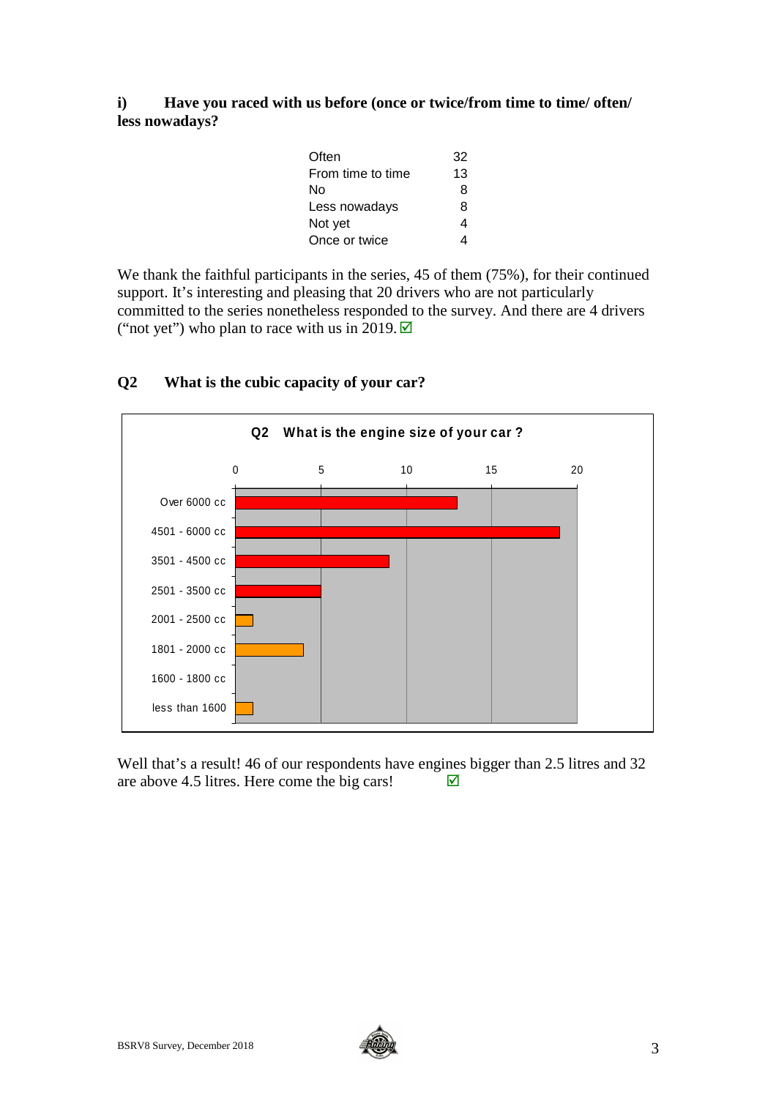#### **i) Have you raced with us before (once or twice/from time to time/ often/ less nowadays?**

| Often             | 32 |
|-------------------|----|
| From time to time | 13 |
| No                | 8  |
| Less nowadays     | 8  |
| Not yet           | 4  |
| Once or twice     |    |

We thank the faithful participants in the series, 45 of them (75%), for their continued support. It's interesting and pleasing that 20 drivers who are not particularly committed to the series nonetheless responded to the survey. And there are 4 drivers ("not yet") who plan to race with us in 2019.  $\blacksquare$ 



# **Q2 What is the cubic capacity of your car?**

Well that's a result! 46 of our respondents have engines bigger than 2.5 litres and 32 are above 4.5 litres. Here come the big cars!

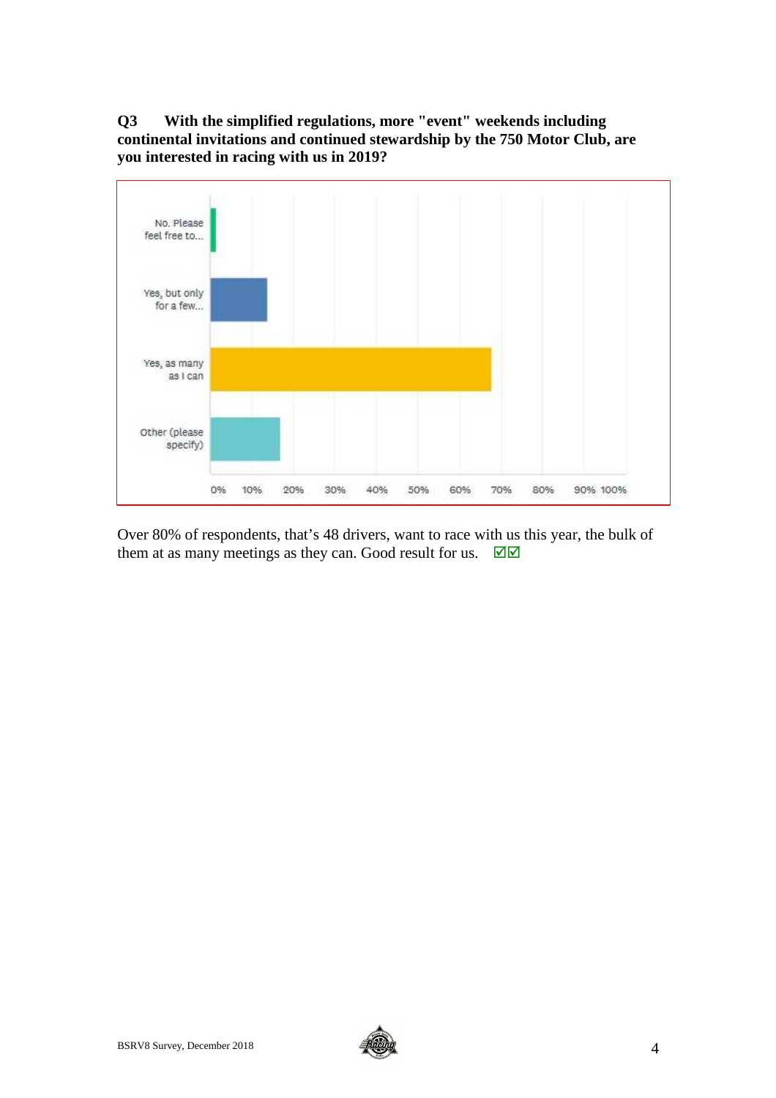**Q3 With the simplified regulations, more "event" weekends including continental invitations and continued stewardship by the 750 Motor Club, are you interested in racing with us in 2019?** 



Over 80% of respondents, that's 48 drivers, want to race with us this year, the bulk of them at as many meetings as they can. Good result for us.  $\Box \Box$ 

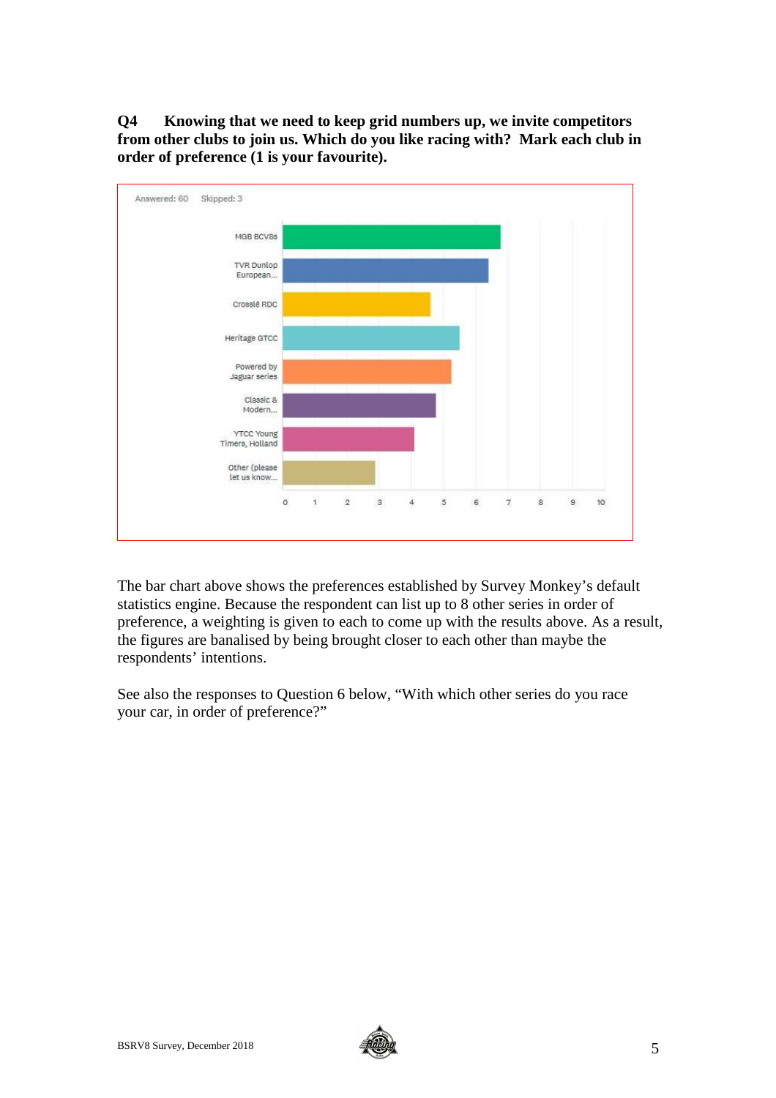**Q4 Knowing that we need to keep grid numbers up, we invite competitors from other clubs to join us. Which do you like racing with? Mark each club in order of preference (1 is your favourite).** 



The bar chart above shows the preferences established by Survey Monkey's default statistics engine. Because the respondent can list up to 8 other series in order of preference, a weighting is given to each to come up with the results above. As a result, the figures are banalised by being brought closer to each other than maybe the respondents' intentions.

See also the responses to Question 6 below, "With which other series do you race your car, in order of preference?"

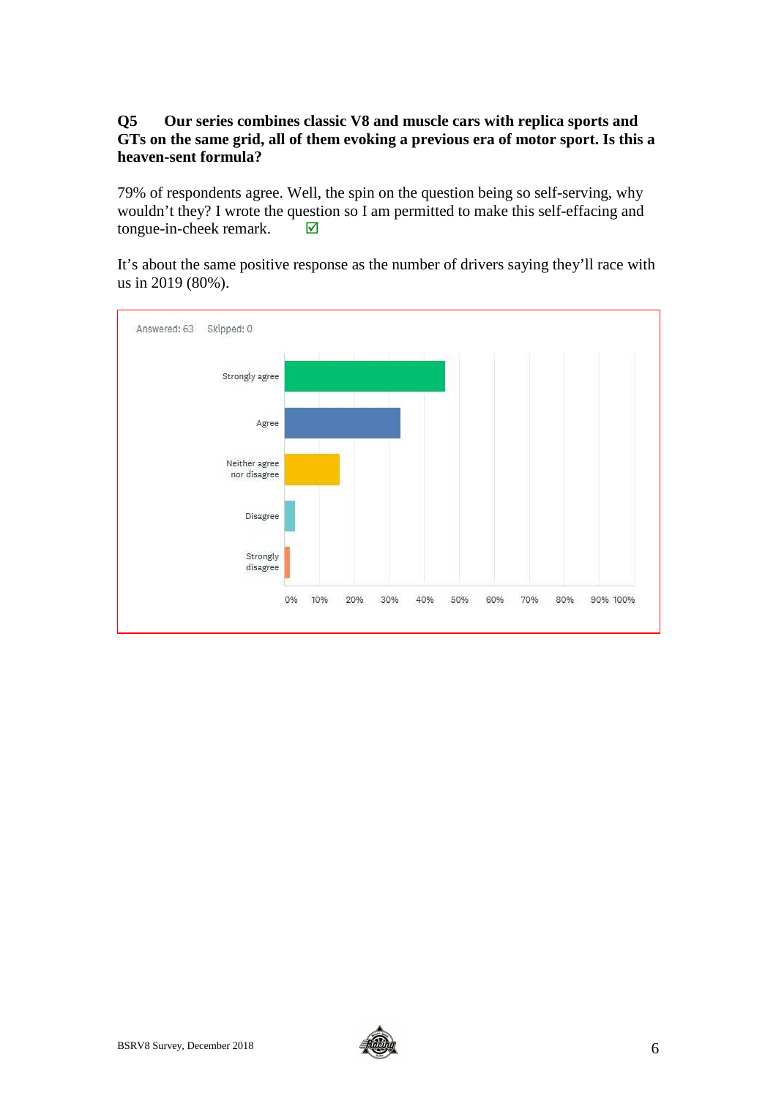# **Q5 Our series combines classic V8 and muscle cars with replica sports and GTs on the same grid, all of them evoking a previous era of motor sport. Is this a heaven-sent formula?**

79% of respondents agree. Well, the spin on the question being so self-serving, why wouldn't they? I wrote the question so I am permitted to make this self-effacing and tongue-in-cheek remark.  $\Box$ 

It's about the same positive response as the number of drivers saying they'll race with us in 2019 (80%).



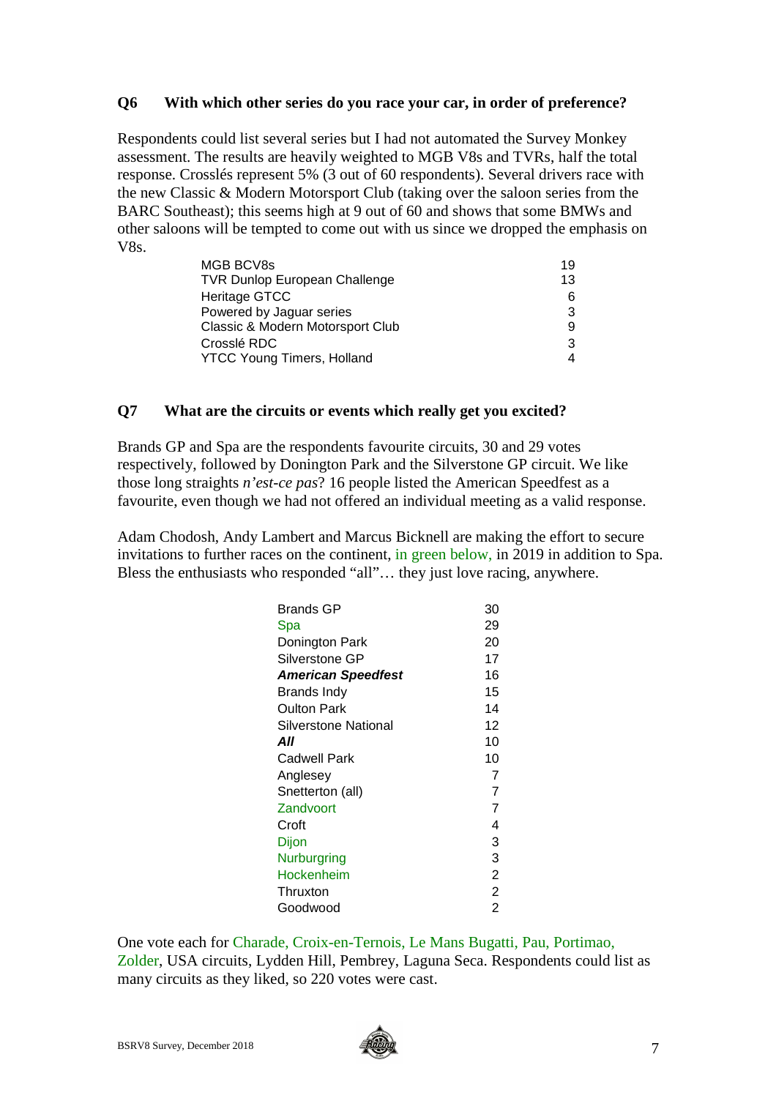#### **Q6 With which other series do you race your car, in order of preference?**

Respondents could list several series but I had not automated the Survey Monkey assessment. The results are heavily weighted to MGB V8s and TVRs, half the total response. Crosslés represent 5% (3 out of 60 respondents). Several drivers race with the new Classic & Modern Motorsport Club (taking over the saloon series from the BARC Southeast); this seems high at 9 out of 60 and shows that some BMWs and other saloons will be tempted to come out with us since we dropped the emphasis on V8s.

| MGB BCV8s                            | 19 |
|--------------------------------------|----|
| <b>TVR Dunlop European Challenge</b> | 13 |
| Heritage GTCC                        | 6  |
| Powered by Jaguar series             | 3  |
| Classic & Modern Motorsport Club     | 9  |
| Crosslé RDC                          | 3  |
| <b>YTCC Young Timers, Holland</b>    |    |

#### **Q7 What are the circuits or events which really get you excited?**

Brands GP and Spa are the respondents favourite circuits, 30 and 29 votes respectively, followed by Donington Park and the Silverstone GP circuit. We like those long straights *n'est-ce pas*? 16 people listed the American Speedfest as a favourite, even though we had not offered an individual meeting as a valid response.

Adam Chodosh, Andy Lambert and Marcus Bicknell are making the effort to secure invitations to further races on the continent, in green below, in 2019 in addition to Spa. Bless the enthusiasts who responded "all"… they just love racing, anywhere.

| Brands GP                 | 30             |
|---------------------------|----------------|
| Spa                       | 29             |
| Donington Park            | 20             |
| Silverstone GP            | 17             |
| <b>American Speedfest</b> | 16             |
| Brands Indy               | 15             |
| Oulton Park               | 14             |
| Silverstone National      | 12             |
| All                       | 10             |
| Cadwell Park              | 10             |
| Anglesey                  | 7              |
| Snetterton (all)          | $\overline{7}$ |
| Zandvoort                 | 7              |
| Croft                     | 4              |
| Dijon                     | 3              |
| Nurburgring               | 3              |
| Hockenheim                | $\overline{2}$ |
| Thruxton                  | $\overline{2}$ |
| Goodwood                  | $\overline{2}$ |

One vote each for Charade, Croix-en-Ternois, Le Mans Bugatti, Pau, Portimao, Zolder, USA circuits, Lydden Hill, Pembrey, Laguna Seca. Respondents could list as many circuits as they liked, so 220 votes were cast.

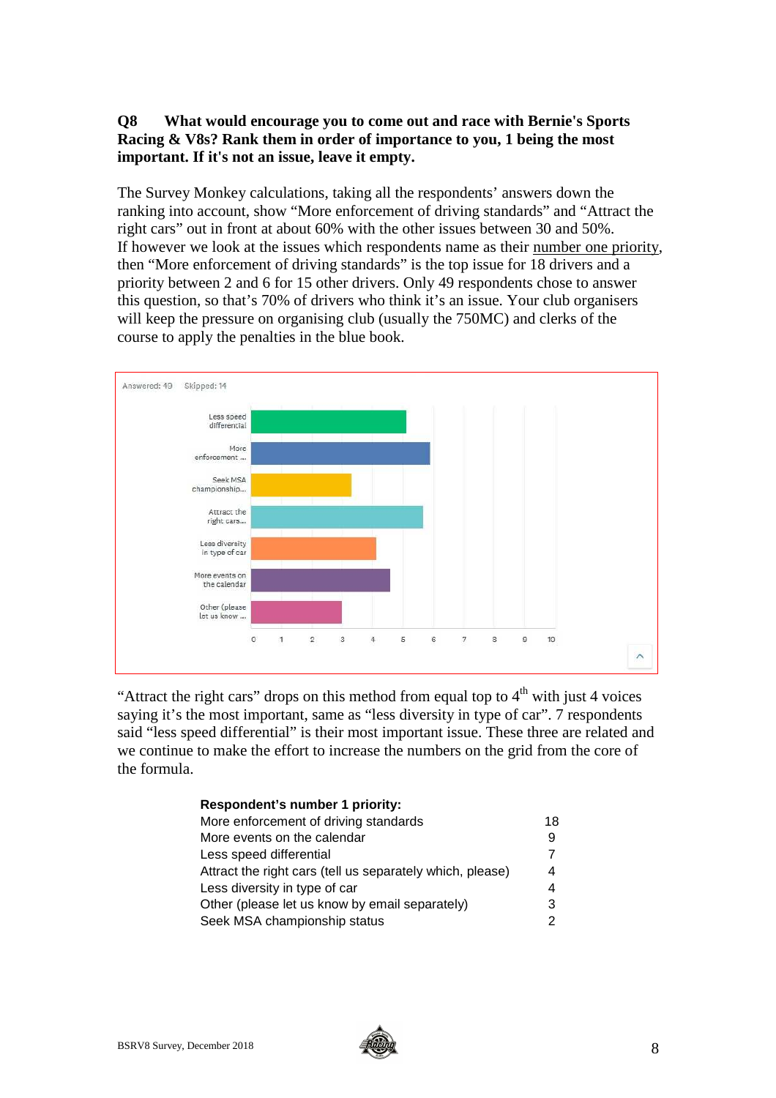# **Q8 What would encourage you to come out and race with Bernie's Sports Racing & V8s? Rank them in order of importance to you, 1 being the most important. If it's not an issue, leave it empty.**

The Survey Monkey calculations, taking all the respondents' answers down the ranking into account, show "More enforcement of driving standards" and "Attract the right cars" out in front at about 60% with the other issues between 30 and 50%. If however we look at the issues which respondents name as their number one priority, then "More enforcement of driving standards" is the top issue for 18 drivers and a priority between 2 and 6 for 15 other drivers. Only 49 respondents chose to answer this question, so that's 70% of drivers who think it's an issue. Your club organisers will keep the pressure on organising club (usually the 750MC) and clerks of the course to apply the penalties in the blue book.



"Attract the right cars" drops on this method from equal top to  $4<sup>th</sup>$  with just 4 voices saying it's the most important, same as "less diversity in type of car". 7 respondents said "less speed differential" is their most important issue. These three are related and we continue to make the effort to increase the numbers on the grid from the core of the formula.

| Respondent's number 1 priority:                           |    |
|-----------------------------------------------------------|----|
| More enforcement of driving standards                     | 18 |
| More events on the calendar                               | 9  |
| Less speed differential                                   |    |
| Attract the right cars (tell us separately which, please) | 4  |
| Less diversity in type of car                             | 4  |
| Other (please let us know by email separately)            | 3  |
| Seek MSA championship status                              |    |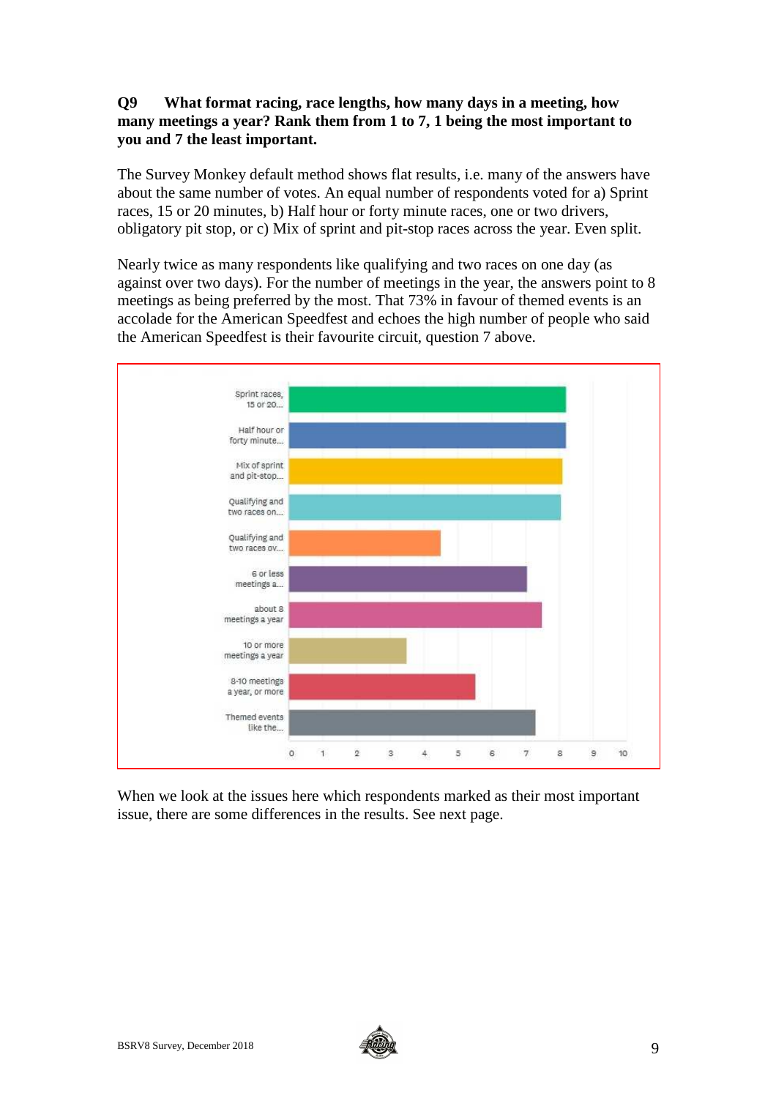#### **Q9 What format racing, race lengths, how many days in a meeting, how many meetings a year? Rank them from 1 to 7, 1 being the most important to you and 7 the least important.**

The Survey Monkey default method shows flat results, i.e. many of the answers have about the same number of votes. An equal number of respondents voted for a) Sprint races, 15 or 20 minutes, b) Half hour or forty minute races, one or two drivers, obligatory pit stop, or c) Mix of sprint and pit-stop races across the year. Even split.

Nearly twice as many respondents like qualifying and two races on one day (as against over two days). For the number of meetings in the year, the answers point to 8 meetings as being preferred by the most. That 73% in favour of themed events is an accolade for the American Speedfest and echoes the high number of people who said the American Speedfest is their favourite circuit, question 7 above.



When we look at the issues here which respondents marked as their most important issue, there are some differences in the results. See next page.